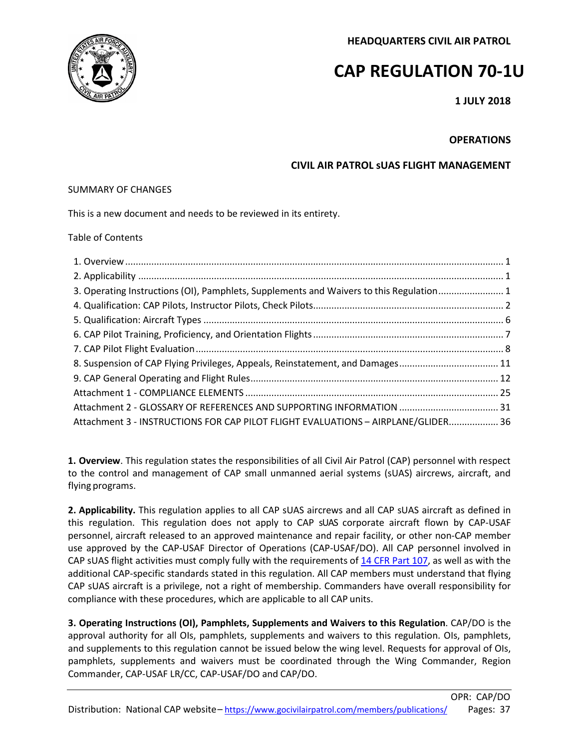**HEADQUARTERS CIVIL AIR PATROL**

# **CAP REGULATION 70-1U**

**1 JULY 2018**

# **OPERATIONS**

# **CIVIL AIR PATROL sUAS FLIGHT MANAGEMENT**

# SUMMARY OF CHANGES

This is a new document and needs to be reviewed in its entirety.

# Table of Contents

| 3. Operating Instructions (OI), Pamphlets, Supplements and Waivers to this Regulation 1 |  |
|-----------------------------------------------------------------------------------------|--|
|                                                                                         |  |
|                                                                                         |  |
|                                                                                         |  |
|                                                                                         |  |
| 8. Suspension of CAP Flying Privileges, Appeals, Reinstatement, and Damages 11          |  |
|                                                                                         |  |
|                                                                                         |  |
|                                                                                         |  |
| Attachment 3 - INSTRUCTIONS FOR CAP PILOT FLIGHT EVALUATIONS - AIRPLANE/GLIDER 36       |  |

<span id="page-0-0"></span>**1. Overview**. This regulation states the responsibilities of all Civil Air Patrol (CAP) personnel with respect to the control and management of CAP small unmanned aerial systems (sUAS) aircrews, aircraft, and flying programs.

<span id="page-0-1"></span>**2. Applicability.** This regulation applies to all CAP sUAS aircrews and all CAP sUAS aircraft as defined in this regulation. This regulation does not apply to CAP sUAS corporate aircraft flown by CAP-USAF personnel, aircraft released to an approved maintenance and repair facility, or other non-CAP member use approved by the CAP-USAF Director of Operations (CAP-USAF/DO). All CAP personnel involved in CAP sUAS flight activities must comply fully with the requirements of 14 CFR Part 107, as well as with the additional CAP-specific standards stated in this regulation. All CAP members must understand that flying CAP sUAS aircraft is a privilege, not a right of membership. Commanders have overall responsibility for compliance with these procedures, which are applicable to all CAP units.

<span id="page-0-2"></span>**3. Operating Instructions (OI), Pamphlets, Supplements and Waivers to this Regulation**. CAP/DO is the approval authority for all OIs, pamphlets, supplements and waivers to this regulation. OIs, pamphlets, and supplements to this regulation cannot be issued below the wing level. Requests for approval of OIs, pamphlets, supplements and waivers must be coordinated through the Wing Commander, Region Commander, CAP-USAF LR/CC, CAP-USAF/DO and CAP/DO.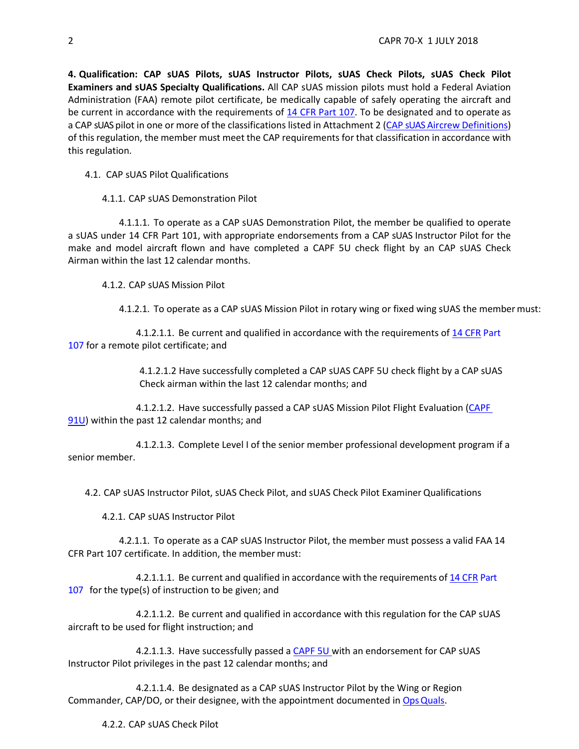<span id="page-1-0"></span>**4. Qualification: CAP sUAS Pilots, sUAS Instructor Pilots, sUAS Check Pilots, sUAS Check Pilot Examiners and sUAS Specialty Qualifications.** All CAP sUAS mission pilots must hold a Federal Aviation Administration (FAA) remote pilot certificate, be medically capable of safely operating the aircraft and be current in accordance with the requirements of 14 CFR Part 107. To be designated and to operate as a CAP sUAS pilot in one or more of the classifications listed in Attachment 2 (CAP [sUAS Aircrew](#page-24-0) Definitions) of this regulation, the member must meet the CAP requirements for that classification in accordance with this regulation.

- 4.1. CAP sUAS Pilot Qualifications
	- 4.1.1. CAP sUAS Demonstration Pilot

4.1.1.1. To operate as a CAP sUAS Demonstration Pilot, the member be qualified to operate a sUAS under 14 CFR Part 101, with appropriate endorsements from a CAP sUAS Instructor Pilot for the make and model aircraft flown and have completed a CAPF 5U check flight by an CAP sUAS Check Airman within the last 12 calendar months.

4.1.2. CAP sUAS Mission Pilot

4.1.2.1. To operate as a CAP sUAS Mission Pilot in rotary wing or fixed wing sUAS the membermust:

4.1.2.1.1. Be current and qualified in accordance with the requirements of 14 CFR Part 107 for a remote pilot certificate; and

> 4.1.2.1.2 Have successfully completed a CAP sUAS CAPF 5U check flight by a CAP sUAS Check airman within the last 12 calendar months; and

4.1.2.1.2. Have successfully passed a CAP sUAS Mission Pilot Flight Evaluation (CAPF 91U) within the past 12 calendar months; and

4.1.2.1.3. Complete Level I of the senior member professional development program if a senior member.

4.2. CAP sUAS Instructor Pilot, sUAS Check Pilot, and sUAS Check Pilot Examiner Qualifications

4.2.1. CAP sUAS Instructor Pilot

4.2.1.1. To operate as a CAP sUAS Instructor Pilot, the member must possess a valid FAA 14 CFR Part 107 certificate. In addition, the member must:

4.2.1.1.1. Be current and qualified in accordance with the requirements of 14 CFR Part 107 for the type(s) of instruction to be given; and

4.2.1.1.2. Be current and qualified in accordance with this regulation for the CAP sUAS aircraft to be used for flight instruction; and

4.2.1.1.3. Have successfully passed a CAPF 5U with an endorsement for CAP sUAS Instructor Pilot privileges in the past 12 calendar months; and

4.2.1.1.4. Be designated as a CAP sUAS Instructor Pilot by the Wing or Region Commander, CAP/DO, or their designee, with the appointment documented in [OpsQuals.](https://www.capnhq.gov/CAP.OPSQuals.Web/Default.aspx)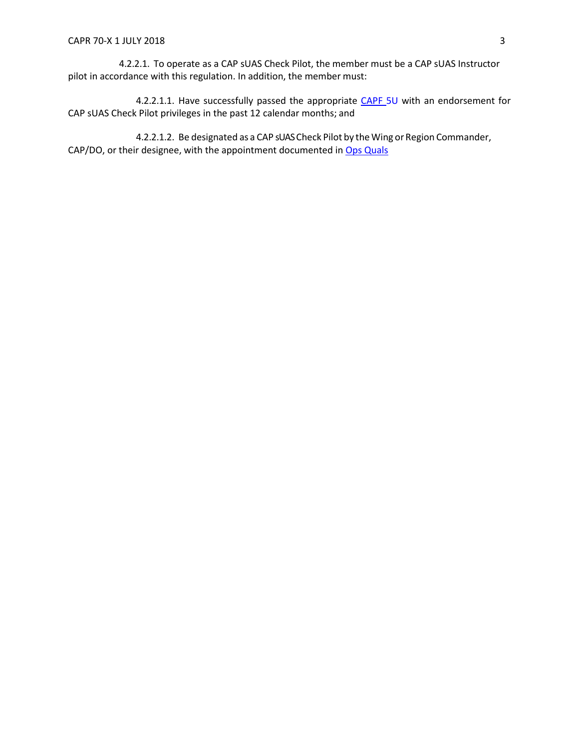4.2.2.1. To operate as a CAP sUAS Check Pilot, the member must be a CAP sUAS Instructor pilot in accordance with this regulation. In addition, the member must:

4.2.2.1.1. Have successfully passed the appropriate CAPF 5U with an endorsement for CAP sUAS Check Pilot privileges in the past 12 calendar months; and

4.2.2.1.2. Be designated as a CAP sUAS Check Pilot by the Wing or Region Commander, CAP/DO, or their designee, with the appointment documented in Ops Quals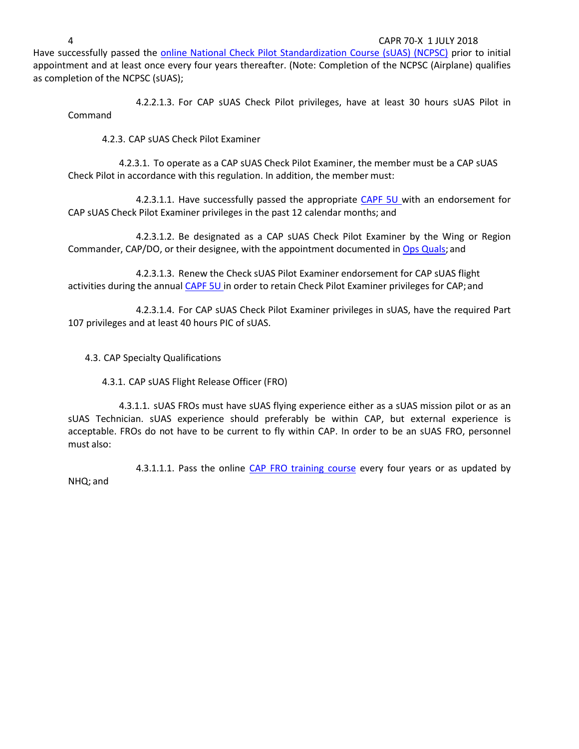4 CAPR 70-X 1 JULY 2018

Have successfully passed the [online National Check Pilot Standardization](https://www.capnhq.gov/CAP.LMS.Web/Course/course_start.aspx?c=1) [Course \(sUAS\) \(NCPSC\)](https://www.capnhq.gov/CAP.LMS.Web/Course/course_start.aspx?c=1) prior to initial appointment and at least once every four years thereafter. (Note: Completion of the NCPSC (Airplane) qualifies as completion of the NCPSC (sUAS);

4.2.2.1.3. For CAP sUAS Check Pilot privileges, have at least 30 hours sUAS Pilot in Command

4.2.3. CAP sUAS Check Pilot Examiner

4.2.3.1. To operate as a CAP sUAS Check Pilot Examiner, the member must be a CAP sUAS Check Pilot in accordance with this regulation. In addition, the member must:

4.2.3.1.1. Have successfully passed the appropriate CAPF 5U with an endorsement for CAP sUAS Check Pilot Examiner privileges in the past 12 calendar months; and

4.2.3.1.2. Be designated as a CAP sUAS Check Pilot Examiner by the Wing or Region Commander, CAP/DO, or their designee, with the appointment documented in [Ops Quals;](https://www.capnhq.gov/CAP.OPSQuals.Web/Default.aspx) and

4.2.3.1.3. Renew the Check sUAS Pilot Examiner endorsement for CAP sUAS flight activities during the annual CAPF 5U in order to retain Check Pilot Examiner privileges for CAP; and

4.2.3.1.4. For CAP sUAS Check Pilot Examiner privileges in sUAS, have the required Part 107 privileges and at least 40 hours PIC of sUAS.

4.3. CAP Specialty Qualifications

4.3.1. CAP sUAS Flight Release Officer (FRO)

4.3.1.1. sUAS FROs must have sUAS flying experience either as a sUAS mission pilot or as an sUAS Technician. sUAS experience should preferably be within CAP, but external experience is acceptable. FROs do not have to be current to fly within CAP. In order to be an sUAS FRO, personnel must also:

4.3.1.1.1. Pass the online [CAP FRO training course](https://www.capnhq.gov/CAP.LMS.Web/Course/course_start.aspx?c=45) every four years or as updated by NHQ; and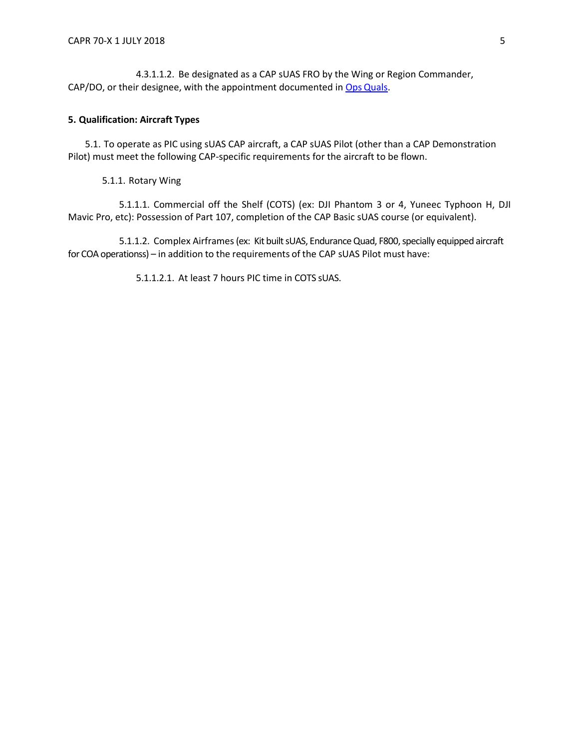4.3.1.1.2. Be designated as a CAP sUAS FRO by the Wing or Region Commander, CAP/DO, or their designee, with the appointment documented in Ops [Quals.](https://www.capnhq.gov/CAP.OPSQuals.Web/Default.aspx)

# <span id="page-4-0"></span>**5. Qualification: Aircraft Types**

5.1. To operate as PIC using sUAS CAP aircraft, a CAP sUAS Pilot (other than a CAP Demonstration Pilot) must meet the following CAP-specific requirements for the aircraft to be flown.

5.1.1. Rotary Wing

5.1.1.1. Commercial off the Shelf (COTS) (ex: DJI Phantom 3 or 4, Yuneec Typhoon H, DJI Mavic Pro, etc): Possession of Part 107, completion of the CAP Basic sUAS course (or equivalent).

5.1.1.2. Complex Airframes (ex: Kit built sUAS, Endurance Quad, F800, specially equipped aircraft for COA operationss) – in addition to the requirements of the CAP sUAS Pilot must have:

5.1.1.2.1. At least 7 hours PIC time in COTS sUAS.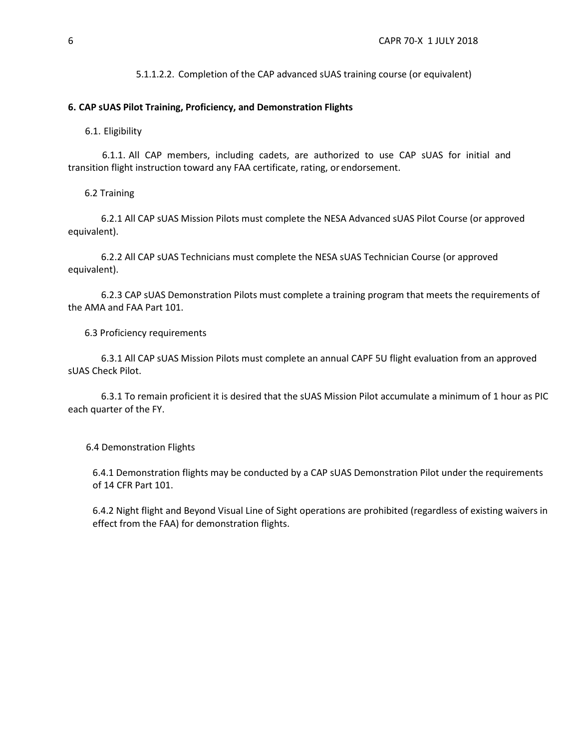5.1.1.2.2. Completion of the CAP advanced sUAS training course (or equivalent)

### <span id="page-5-0"></span>**6. CAP sUAS Pilot Training, Proficiency, and Demonstration Flights**

6.1. Eligibility

6.1.1. All CAP members, including cadets, are authorized to use CAP sUAS for initial and transition flight instruction toward any FAA certificate, rating, or endorsement.

6.2 Training

6.2.1 All CAP sUAS Mission Pilots must complete the NESA Advanced sUAS Pilot Course (or approved equivalent).

6.2.2 All CAP sUAS Technicians must complete the NESA sUAS Technician Course (or approved equivalent).

6.2.3 CAP sUAS Demonstration Pilots must complete a training program that meets the requirements of the AMA and FAA Part 101.

6.3 Proficiency requirements

6.3.1 All CAP sUAS Mission Pilots must complete an annual CAPF 5U flight evaluation from an approved sUAS Check Pilot.

6.3.1 To remain proficient it is desired that the sUAS Mission Pilot accumulate a minimum of 1 hour as PIC each quarter of the FY.

6.4 Demonstration Flights

6.4.1 Demonstration flights may be conducted by a CAP sUAS Demonstration Pilot under the requirements of 14 CFR Part 101.

6.4.2 Night flight and Beyond Visual Line of Sight operations are prohibited (regardless of existing waivers in effect from the FAA) for demonstration flights.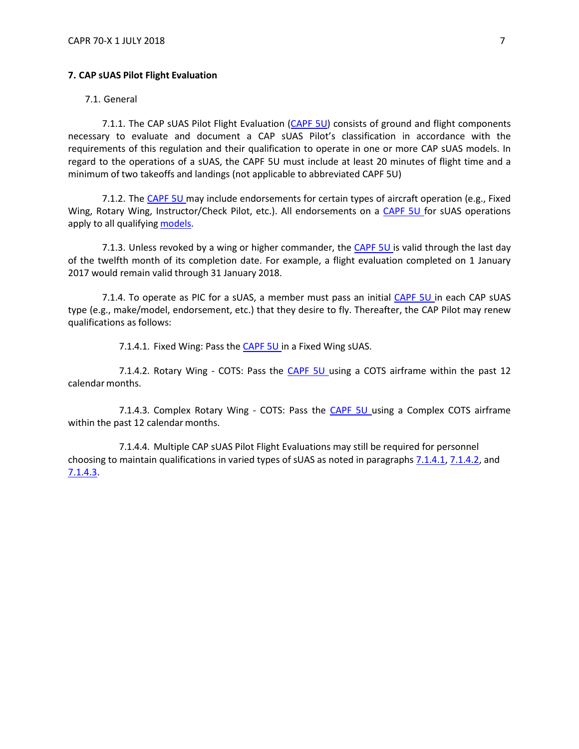## <span id="page-6-0"></span>**7. CAP sUAS Pilot Flight Evaluation**

7.1. General

7.1.1. The CAP sUAS Pilot Flight Evaluation (CAPF 5U) consists of ground and flight components necessary to evaluate and document a CAP sUAS Pilot's classification in accordance with the requirements of this regulation and their qualification to operate in one or more CAP sUAS models. In regard to the operations of a sUAS, the CAPF 5U must include at least 20 minutes of flight time and a minimum of two takeoffs and landings (not applicable to abbreviated CAPF 5U)

7.1.2. The CAPF 5U may include endorsements for certain types of aircraft operation (e.g., Fixed Wing, Rotary Wing, Instructor/Check Pilot, etc.). All endorsements on a CAPF 5U for sUAS operations apply to all qualifying [models.](#page-7-0)

7.1.3. Unless revoked by a wing or higher commander, the CAPF 5U is valid through the last day of the twelfth month of its completion date. For example, a flight evaluation completed on 1 January 2017 would remain valid through 31 January 2018.

7.1.4. To operate as PIC for a sUAS, a member must pass an initial CAPF 5U in each CAP sUAS type (e.g., make/model, endorsement, etc.) that they desire to fly. Thereafter, the CAP Pilot may renew qualifications as follows:

7.1.4.1. Fixed Wing: Pass the CAPF 5U in a Fixed Wing sUAS.

<span id="page-6-2"></span><span id="page-6-1"></span>7.1.4.2. Rotary Wing - COTS: Pass the CAPF 5U using a COTS airframe within the past 12 calendar months.

<span id="page-6-3"></span>7.1.4.3. Complex Rotary Wing - COTS: Pass the CAPF 5U using a Complex COTS airframe within the past 12 calendar months.

7.1.4.4. Multiple CAP sUAS Pilot Flight Evaluations may still be required for personnel choosing to maintain qualifications in varied types of sUAS as noted in paragraphs [7.1.4.1,](#page-6-1) [7.1.4.2, a](#page-6-2)n[d](#page-6-3) [7.1.4.3.](#page-6-3)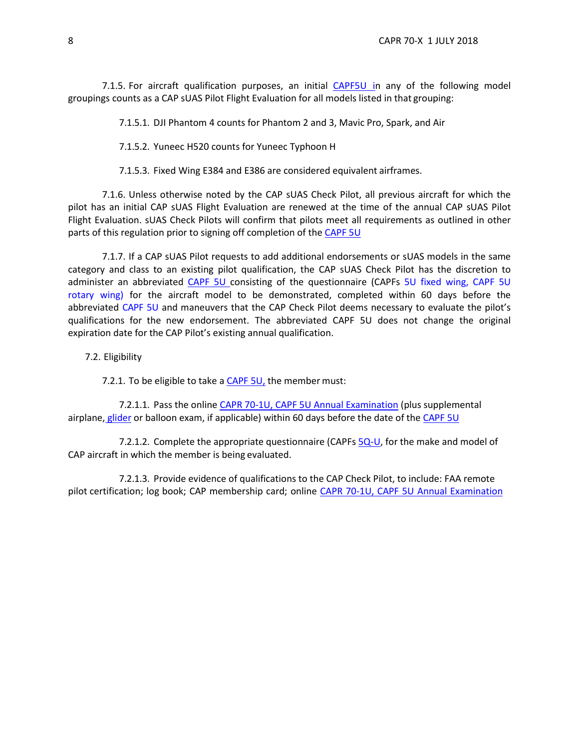<span id="page-7-0"></span>7.1.5. For aircraft qualification purposes, an initial CAPF5U in any of the following model groupings counts as a CAP sUAS Pilot Flight Evaluation for all models listed in that grouping:

7.1.5.1. DJI Phantom 4 counts for Phantom 2 and 3, Mavic Pro, Spark, and Air

7.1.5.2. Yuneec H520 counts for Yuneec Typhoon H

7.1.5.3. Fixed Wing E384 and E386 are considered equivalent airframes.

7.1.6. Unless otherwise noted by the CAP sUAS Check Pilot, all previous aircraft for which the pilot has an initial CAP sUAS Flight Evaluation are renewed at the time of the annual CAP sUAS Pilot Flight Evaluation. sUAS Check Pilots will confirm that pilots meet all requirements as outlined in other parts of this regulation prior to signing off completion of the CAPF 5U

7.1.7. If a CAP sUAS Pilot requests to add additional endorsements or sUAS models in the same category and class to an existing pilot qualification, the CAP sUAS Check Pilot has the discretion to administer an abbreviated CAPF 5U consisting of the questionnaire (CAPFs 5U fixed wing, CAPF 5U rotary wing) for the aircraft model to be demonstrated, completed within 60 days before the abbreviated CAPF 5U and maneuvers that the CAP Check Pilot deems necessary to evaluate the pilot's qualifications for the new endorsement. The abbreviated CAPF 5U does not change the original expiration date for the CAP Pilot's existing annual qualification.

7.2. Eligibility

7.2.1. To be eligible to take a [CAPF 5U,](https://www.gocivilairpatrol.com/static/media/cms/F005_307D79BCBF52D.pdf) the member must:

7.2.1.1. Pass the online [CAPR 70-1U, CAPF 5U](https://www.capnhq.gov/CAP.LMS.Web/Course/course_lessons.aspx?c=120) Annual Examination (plus supplemental airplane, [glider](https://www.capnhq.gov/CAP.LMS.Web/Quiz/quiz_start.aspx?qid=2) or balloon exam, if applicable) within 60 days before the date of the [CAPF 5U](https://www.capmembers.com/media/cms/F005_307D79BCBF52D.pdf)

7.2.1.2. Complete the appropriate questionnaire (CAPFs [5Q-U,](https://www.gocivilairpatrol.com/static/media/cms/F005Q_A_CE3D5276A7C14.pdf) for the make and model of CAP aircraft in which the member is being evaluated.

7.2.1.3. Provide evidence of qualifications to the CAP Check Pilot, to include: FAA remote pilot certification; log book; CAP membership card; online CAPR 70-1U, CAPF 5U Annual [Examination](https://www.capnhq.gov/CAP.LMS.Web/Course/course_lessons.aspx?c=120)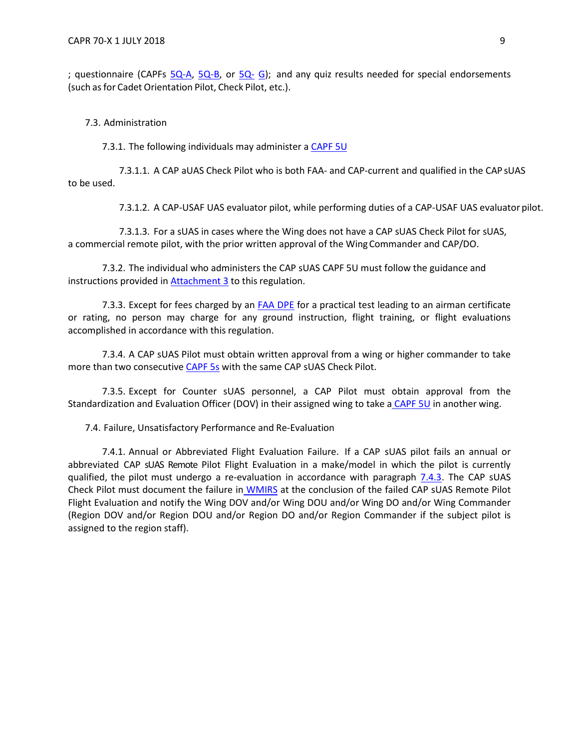; questionnaire (CAPFs [5Q-A,](https://www.gocivilairpatrol.com/static/media/cms/F005Q_A_CE3D5276A7C14.pdf) [5Q-B,](https://www.gocivilairpatrol.com/static/media/cms/F005Q_B_6259910691C4F.pdf) or [5Q-](https://www.gocivilairpatrol.com/static/media/cms/F005Q_G_74F252F1381E7.pdf) [G\)](https://www.gocivilairpatrol.com/static/media/cms/F005Q_G_74F252F1381E7.pdf); and any quiz results needed for special endorsements (such as for Cadet Orientation Pilot, Check Pilot, etc.).

7.3. Administration

7.3.1. The following individuals may administer a CAPF 5U

7.3.1.1. A CAP aUAS Check Pilot who is both FAA- and CAP-current and qualified in the CAP sUAS to be used.

7.3.1.2. A CAP-USAF UAS evaluator pilot, while performing duties of a CAP-USAF UAS evaluator pilot.

7.3.1.3. For a sUAS in cases where the Wing does not have a CAP sUAS Check Pilot for sUAS, a commercial remote pilot, with the prior written approval of the WingCommander and CAP/DO.

7.3.2. The individual who administers the CAP sUAS CAPF 5U must follow the guidance and instructions provided in **[Attachment 3](#page-27-0)** to this regulation.

7.3.3. Except for fees charged by an [FAA DPE](https://www.faa.gov/other_visit/aviation_industry/designees_delegations/designee_types/dpe/) for a practical test leading to an airman certificate or rating, no person may charge for any ground instruction, flight training, or flight evaluations accomplished in accordance with this regulation.

7.3.4. A CAP sUAS Pilot must obtain written approval from a wing or higher commander to take more than two consecutive [CAPF 5s](https://www.gocivilairpatrol.com/static/media/cms/F005_307D79BCBF52D.pdf) with the same CAP sUAS Check Pilot.

7.3.5. Except for Counter sUAS personnel, a CAP Pilot must obtain approval from the Standardization and Evaluation Officer (DOV) in their assigned wing to take a [CAPF 5U](https://www.gocivilairpatrol.com/static/media/cms/F005_307D79BCBF52D.pdf) in another wing.

7.4. Failure, Unsatisfactory Performance and Re-Evaluation

<span id="page-8-0"></span>7.4.1. Annual or Abbreviated Flight Evaluation Failure. If a CAP sUAS pilot fails an annual or abbreviated CAP sUAS Remote Pilot Flight Evaluation in a make/model in which the pilot is currently qualified, the pilot must undergo a re-evaluation in accordance with paragraph  $7.4.3$ . The CAP sUAS Check Pilot must document the failure in [WMIRS](https://www.capnhq.gov/WMIRS/Default.aspx) at the conclusion of the failed CAP sUAS Remote Pilot Flight Evaluation and notify the Wing DOV and/or Wing DOU and/or Wing DO and/or Wing Commander (Region DOV and/or Region DOU and/or Region DO and/or Region Commander if the subject pilot is assigned to the region staff).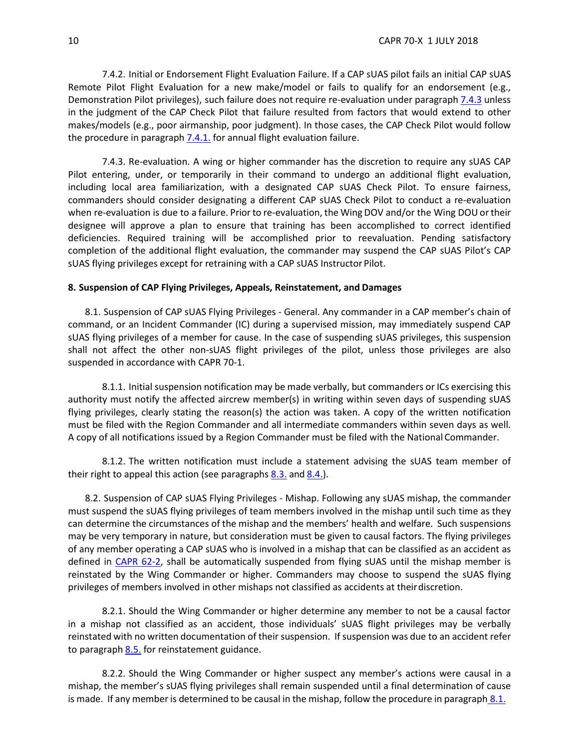7.4.2. Initial or Endorsement Flight Evaluation Failure. If a CAP sUAS pilot fails an initial CAP sUAS Remote Pilot Flight Evaluation for a new make/model or fails to qualify for an endorsement (e.g., Demonstration Pilot privileges), such failure does not require re-evaluation under paragraph [7.4.3](#page-9-1) unless in the judgment of the CAP Check Pilot that failure resulted from factors that would extend to other makes/models (e.g., poor airmanship, poor judgment). In those cases, the CAP Check Pilot would follow the procedure in paragraph  $7.4.1$ . for annual flight evaluation failure.

<span id="page-9-1"></span>7.4.3. Re-evaluation. A wing or higher commander has the discretion to require any sUAS CAP Pilot entering, under, or temporarily in their command to undergo an additional flight evaluation, including local area familiarization, with a designated CAP sUAS Check Pilot. To ensure fairness, commanders should consider designating a different CAP sUAS Check Pilot to conduct a re-evaluation when re-evaluation is due to a failure. Prior to re-evaluation, the Wing DOV and/or the Wing DOU or their designee will approve a plan to ensure that training has been accomplished to correct identified deficiencies. Required training will be accomplished prior to reevaluation. Pending satisfactory completion of the additional flight evaluation, the commander may suspend the CAP sUAS Pilot's CAP sUAS flying privileges except for retraining with a CAP sUAS Instructor Pilot.

## <span id="page-9-0"></span>**8. Suspension of CAP Flying Privileges, Appeals, Reinstatement, and Damages**

<span id="page-9-2"></span>8.1. Suspension of CAP sUAS Flying Privileges - General. Any commander in a CAP member's chain of command, or an Incident Commander (IC) during a supervised mission, may immediately suspend CAP sUAS flying privileges of a member for cause. In the case of suspending sUAS privileges, this suspension shall not affect the other non-sUAS flight privileges of the pilot, unless those privileges are also suspended in accordance with CAPR 70-1.

8.1.1. Initial suspension notification may be made verbally, but commanders or ICs exercising this authority must notify the affected aircrew member(s) in writing within seven days of suspending sUAS flying privileges, clearly stating the reason(s) the action was taken. A copy of the written notification must be filed with the Region Commander and all intermediate commanders within seven days as well. A copy of all notifications issued by a Region Commander must be filed with the National Commander.

8.1.2. The written notification must include a statement advising the sUAS team member of their right to appeal this action (see paragraphs  $8.3$ . and  $8.4$ .).

8.2. Suspension of CAP sUAS Flying Privileges - Mishap. Following any sUAS mishap, the commander must suspend the sUAS flying privileges of team members involved in the mishap until such time as they can determine the circumstances of the mishap and the members' health and welfare. Such suspensions may be very temporary in nature, but consideration must be given to causal factors. The flying privileges of any member operating a CAP sUAS who is involved in a mishap that can be classified as an accident as defined in [CAPR 62-2,](https://www.gocivilairpatrol.com/static/media/cms/R062_002_211E97E99C6A4.pdf) shall be automatically suspended from flying sUAS until the mishap member is reinstated by the Wing Commander or higher. Commanders may choose to suspend the sUAS flying privileges of members involved in other mishaps not classified as accidents at theirdiscretion.

8.2.1. Should the Wing Commander or higher determine any member to not be a causal factor in a mishap not classified as an accident, those individuals' sUAS flight privileges may be verbally reinstated with no written documentation of their suspension. If suspension was due to an accident refer to paragraph  $8.5.$  for reinstatement guidance.

8.2.2. Should the Wing Commander or higher suspect any member's actions were causal in a mishap, the member's sUAS flying privileges shall remain suspended until a final determination of cause is made. If any member is determined to be causal in the mishap, follow the procedure in paragraph [8.1.](#page-9-2)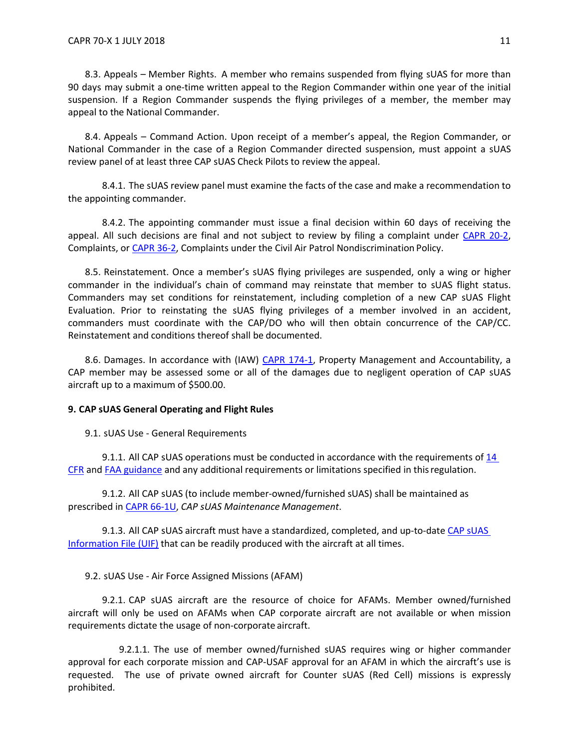<span id="page-10-1"></span>8.3. Appeals – Member Rights. A member who remains suspended from flying sUAS for more than 90 days may submit a one-time written appeal to the Region Commander within one year of the initial suspension. If a Region Commander suspends the flying privileges of a member, the member may appeal to the National Commander.

<span id="page-10-2"></span>8.4. Appeals – Command Action. Upon receipt of a member's appeal, the Region Commander, or National Commander in the case of a Region Commander directed suspension, must appoint a sUAS review panel of at least three CAP sUAS Check Pilots to review the appeal.

8.4.1. The sUAS review panel must examine the facts of the case and make a recommendation to the appointing commander.

8.4.2. The appointing commander must issue a final decision within 60 days of receiving the appeal. All such decisions are final and not subject to review by filing a complaint under [CAPR 20-2,](https://www.gocivilairpatrol.com/static/media/cms/CAPR020002_D67F32F26D5E9.pdf) Complaints, or [CAPR 36-2, C](https://www.gocivilairpatrol.com/static/media/cms/R036_002_D2CD7C6F4C14A.pdf)omplaints under the Civil Air Patrol Nondiscrimination Policy.

<span id="page-10-3"></span>8.5. Reinstatement. Once a member's sUAS flying privileges are suspended, only a wing or higher commander in the individual's chain of command may reinstate that member to sUAS flight status. Commanders may set conditions for reinstatement, including completion of a new CAP sUAS Flight Evaluation. Prior to reinstating the sUAS flying privileges of a member involved in an accident, commanders must coordinate with the CAP/DO who will then obtain concurrence of the CAP/CC. Reinstatement and conditions thereof shall be documented.

8.6. Damages. In accordance with (IAW) [CAPR 174-1, P](https://www.gocivilairpatrol.com/static/media/cms/R174_001_F7C3242683CC7.pdf)roperty Management and Accountability, a CAP member may be assessed some or all of the damages due to negligent operation of CAP sUAS aircraft up to a maximum of \$500.00.

#### <span id="page-10-0"></span>**9. CAP sUAS General Operating and Flight Rules**

9.1. sUAS Use - General Requirements

9.1.1. All CAP sUAS operations must be conducted in accordance with the requirements of 14 CFR and [FAA guidance](http://www.faa.gov/) and any additional requirements or limitations specified in thisregulation.

9.1.2. All CAP sUAS (to include member-owned/furnished sUAS) shall be maintained as prescribed in [CAPR 66-1U,](https://www.gocivilairpatrol.com/static/media/cms/R066_001_8067887A28C8C.pdf) *CAP sUAS Maintenance Management*.

9.1.3. All [CAP](https://www.gocivilairpatrol.com/programs/emergency-services/aircraft-ops-and-staneval/aif-standardized-cap-aircraft-information-file/) [sUAS](https://www.gocivilairpatrol.com/programs/emergency-services/aircraft-ops-and-staneval/aif-standardized-cap-aircraft-information-file/) aircraft must have a standardized, completed, and up-to-date CAP sUAS [Information File \(UIF\)](https://www.gocivilairpatrol.com/programs/emergency-services/aircraft-ops-and-staneval/aif-standardized-cap-aircraft-information-file/) that can be readily produced with the aircraft at all times.

#### 9.2. sUAS Use - Air Force Assigned Missions (AFAM)

9.2.1. CAP sUAS aircraft are the resource of choice for AFAMs. Member owned/furnished aircraft will only be used on AFAMs when CAP corporate aircraft are not available or when mission requirements dictate the usage of non-corporate aircraft.

9.2.1.1. The use of member owned/furnished sUAS requires wing or higher commander approval for each corporate mission and CAP-USAF approval for an AFAM in which the aircraft's use is requested. The use of private owned aircraft for Counter sUAS (Red Cell) missions is expressly prohibited.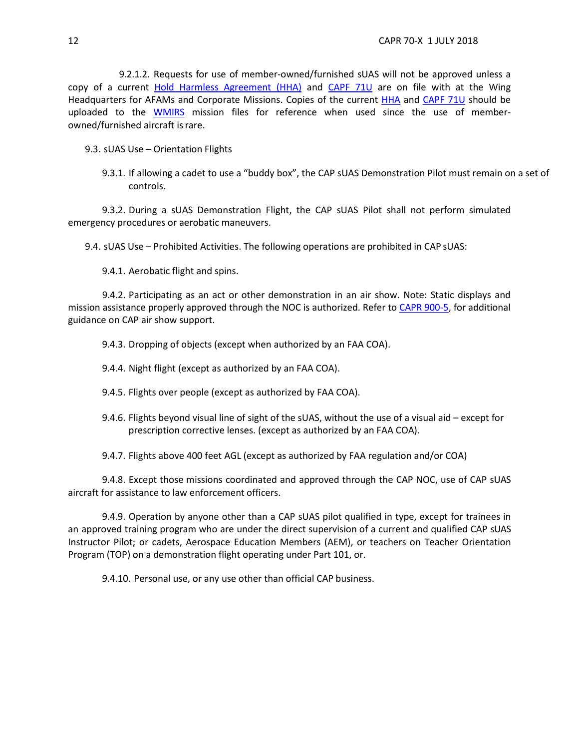9.2.1.2. Requests for use of member-owned/furnished sUAS will not be approved unless a copy of a current [Hold Harmless Agreement \(HHA\)](https://www.gocivilairpatrol.com/static/media/cms/DD_2402__CAP_Hold_Harmless_Agreemen_A4F26658C4E29.pdf) and [CAPF 71U](https://www.gocivilairpatrol.com/static/media/cms/F071_484891873A9D5.pdf) are on file with at the Wing Headquarters for AFAMs and Corporate Missions. Copies of the current [HHA](https://www.gocivilairpatrol.com/static/media/cms/DD_2402__CAP_Hold_Harmless_Agreemen_A4F26658C4E29.pdf) and [CAPF 71U](https://www.gocivilairpatrol.com/static/media/cms/F071_484891873A9D5.pdf) should be uploaded to the [WMIRS](https://www.capnhq.gov/WMIRS/Default.aspx) mission files for reference when used since the use of memberowned/furnished aircraft is rare.

- 9.3. sUAS Use Orientation Flights
	- 9.3.1. If allowing a cadet to use a "buddy box", the CAP sUAS Demonstration Pilot must remain on a set of controls.

9.3.2. During a sUAS Demonstration Flight, the CAP sUAS Pilot shall not perform simulated emergency procedures or aerobatic maneuvers.

9.4. sUAS Use – Prohibited Activities. The following operations are prohibited in CAP sUAS:

9.4.1. Aerobatic flight and spins.

9.4.2. Participating as an act or other demonstration in an air show. Note: Static displays and mission assistance properly approved through the NOC is authorized. Refer to [CAPR 900-5, f](https://www.gocivilairpatrol.com/static/media/cms/R900_005_8F2514161E982.pdf)or additional guidance on CAP air show support.

9.4.3. Dropping of objects (except when authorized by an FAA COA).

- 9.4.4. Night flight (except as authorized by an FAA COA).
- 9.4.5. Flights over people (except as authorized by FAA COA).
- 9.4.6. Flights beyond visual line of sight of the sUAS, without the use of a visual aid except for prescription corrective lenses. (except as authorized by an FAA COA).

9.4.7. Flights above 400 feet AGL (except as authorized by FAA regulation and/or COA)

9.4.8. Except those missions coordinated and approved through the CAP NOC, use of CAP sUAS aircraft for assistance to law enforcement officers.

9.4.9. Operation by anyone other than a CAP sUAS pilot qualified in type, except for trainees in an approved training program who are under the direct supervision of a current and qualified CAP sUAS Instructor Pilot; or cadets, Aerospace Education Members (AEM), or teachers on Teacher Orientation Program (TOP) on a demonstration flight operating under Part 101, or.

9.4.10. Personal use, or any use other than official CAP business.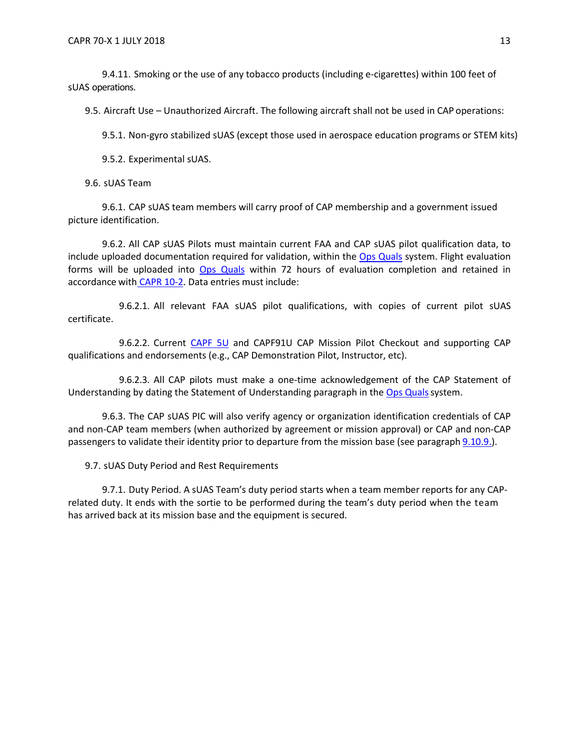9.4.11. Smoking or the use of any tobacco products (including e-cigarettes) within 100 feet of sUAS operations.

9.5. Aircraft Use – Unauthorized Aircraft. The following aircraft shall not be used in CAP operations:

9.5.1. Non-gyro stabilized sUAS (except those used in aerospace education programs or STEM kits)

9.5.2. Experimental sUAS.

9.6. sUAS Team

9.6.1. CAP sUAS team members will carry proof of CAP membership and a government issued picture identification.

9.6.2. All CAP sUAS Pilots must maintain current FAA and CAP sUAS pilot qualification data, to include uploaded documentation required for validation, within the [Ops Quals](https://www.capnhq.gov/CAP.OPSQuals.Web/Default.aspx) system. Flight evaluation forms will be uploaded into Ops [Quals](https://www.capnhq.gov/CAP.OPSQuals.Web/Default.aspx) within 72 hours of evaluation completion and retained in accordance with [CAPR 10-2. D](https://www.gocivilairpatrol.com/static/media/cms/R010_002_06448D9F87459.pdf)ata entries must include:

9.6.2.1. All relevant FAA sUAS pilot qualifications, with copies of current pilot sUAS certificate.

9.6.2.2. Current [CAPF 5U](https://www.gocivilairpatrol.com/static/media/cms/F005_307D79BCBF52D.pdf) and CAPF91U CAP Mission Pilot Checkout and supporting CAP qualifications and endorsements (e.g., CAP Demonstration Pilot, Instructor, etc).

9.6.2.3. All CAP pilots must make a one-time acknowledgement of the CAP Statement of Understanding by dating the Statement of Understanding paragraph in the Ops Quals system.

9.6.3. The CAP sUAS PIC will also verify agency or organization identification credentials of CAP and non-CAP team members (when authorized by agreement or mission approval) or CAP and non-CAP passengers to validate their identity prior to departure from the mission base (see paragraph 9.10.9.).

9.7. sUAS Duty Period and Rest Requirements

9.7.1. Duty Period. A sUAS Team's duty period starts when a team member reports for any CAPrelated duty. It ends with the sortie to be performed during the team's duty period when the team has arrived back at its mission base and the equipment is secured.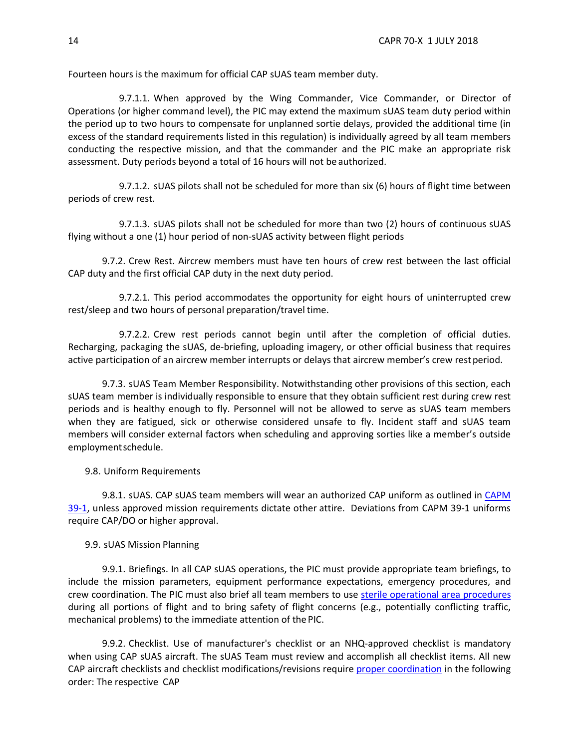Fourteen hours is the maximum for official CAP sUAS team member duty.

9.7.1.1. When approved by the Wing Commander, Vice Commander, or Director of Operations (or higher command level), the PIC may extend the maximum sUAS team duty period within the period up to two hours to compensate for unplanned sortie delays, provided the additional time (in excess of the standard requirements listed in this regulation) is individually agreed by all team members conducting the respective mission, and that the commander and the PIC make an appropriate risk assessment. Duty periods beyond a total of 16 hours will not be authorized.

9.7.1.2. sUAS pilots shall not be scheduled for more than six (6) hours of flight time between periods of crew rest.

9.7.1.3. sUAS pilots shall not be scheduled for more than two (2) hours of continuous sUAS flying without a one (1) hour period of non-sUAS activity between flight periods

9.7.2. Crew Rest. Aircrew members must have ten hours of crew rest between the last official CAP duty and the first official CAP duty in the next duty period.

9.7.2.1. This period accommodates the opportunity for eight hours of uninterrupted crew rest/sleep and two hours of personal preparation/travel time.

9.7.2.2. Crew rest periods cannot begin until after the completion of official duties. Recharging, packaging the sUAS, de-briefing, uploading imagery, or other official business that requires active participation of an aircrew member interrupts or delays that aircrew member's crew restperiod.

9.7.3. sUAS Team Member Responsibility. Notwithstanding other provisions of this section, each sUAS team member is individually responsible to ensure that they obtain sufficient rest during crew rest periods and is healthy enough to fly. Personnel will not be allowed to serve as sUAS team members when they are fatigued, sick or otherwise considered unsafe to fly. Incident staff and sUAS team members will consider external factors when scheduling and approving sorties like a member's outside employmentschedule.

9.8. Uniform Requirements

9.8.1. sUAS. CAP sUAS team members will wear an authorized CAP uniform as outlined in [CAPM](https://www.gocivilairpatrol.com/static/media/cms/M391_E6F33EAAEC28A.pdf)  [39-1,](https://www.gocivilairpatrol.com/static/media/cms/M391_E6F33EAAEC28A.pdf) unless approved mission requirements dictate other attire. Deviations from CAPM 39-1 uniforms require CAP/DO or higher approval.

9.9. sUAS Mission Planning

9.9.1. Briefings. In all CAP sUAS operations, the PIC must provide appropriate team briefings, to include the mission parameters, equipment performance expectations, emergency procedures, and crew coordination. The PIC must also brief all team members to use sterile operational area procedures during all portions of flight and to bring safety of flight concerns (e.g., potentially conflicting traffic, mechanical problems) to the immediate attention of the PIC.

9.9.2. Checklist. Use of manufacturer's checklist or an NHQ-approved checklist is mandatory when using CAP sUAS aircraft. The sUAS Team must review and accomplish all checklist items. All new CAP aircraft checklists and checklist modifications/revisions require [proper coordination](https://www.gocivilairpatrol.com/programs/emergency-services/aircraft-ops-and-staneval/checklist-approval-instructions/) in the following order: The respective CAP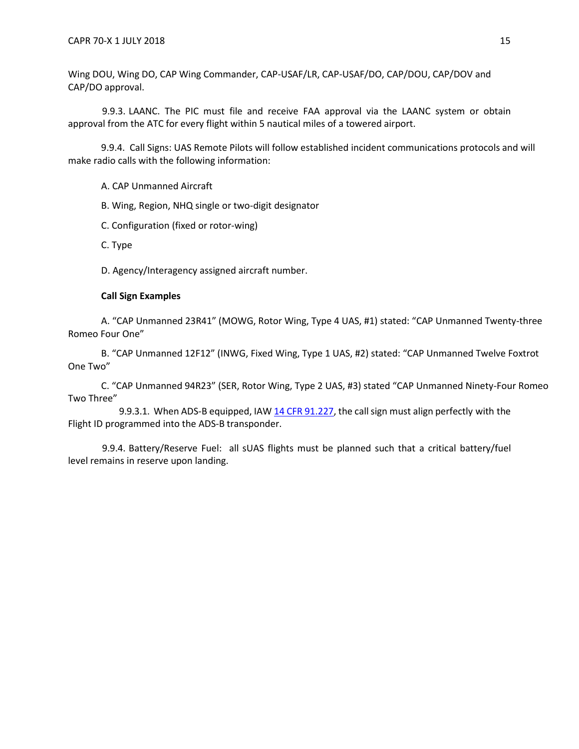Wing DOU, Wing DO, CAP Wing Commander, CAP-USAF/LR, CAP-USAF/DO, CAP/DOU, CAP/DOV and CAP/DO approval.

9.9.3. LAANC. The PIC must file and receive FAA approval via the LAANC system or obtain approval from the ATC for every flight within 5 nautical miles of a towered airport.

9.9.4. Call Signs: UAS Remote Pilots will follow established incident communications protocols and will make radio calls with the following information:

A. CAP Unmanned Aircraft

B. Wing, Region, NHQ single or two-digit designator

C. Configuration (fixed or rotor-wing)

C. Type

D. Agency/Interagency assigned aircraft number.

## **Call Sign Examples**

A. "CAP Unmanned 23R41" (MOWG, Rotor Wing, Type 4 UAS, #1) stated: "CAP Unmanned Twenty-three Romeo Four One"

B. "CAP Unmanned 12F12" (INWG, Fixed Wing, Type 1 UAS, #2) stated: "CAP Unmanned Twelve Foxtrot One Two"

C. "CAP Unmanned 94R23" (SER, Rotor Wing, Type 2 UAS, #3) stated "CAP Unmanned Ninety-Four Romeo Two Three"

9.9.3.1. When ADS-B equipped, IAW 14 CFR [91.227,](https://www.ecfr.gov/cgi-bin/text-idx?node=14%3A2.0.1.3.10&se14.2.91_1227) the callsign must align perfectly with the Flight ID programmed into the ADS-B transponder.

9.9.4. Battery/Reserve Fuel: all sUAS flights must be planned such that a critical battery/fuel level remains in reserve upon landing.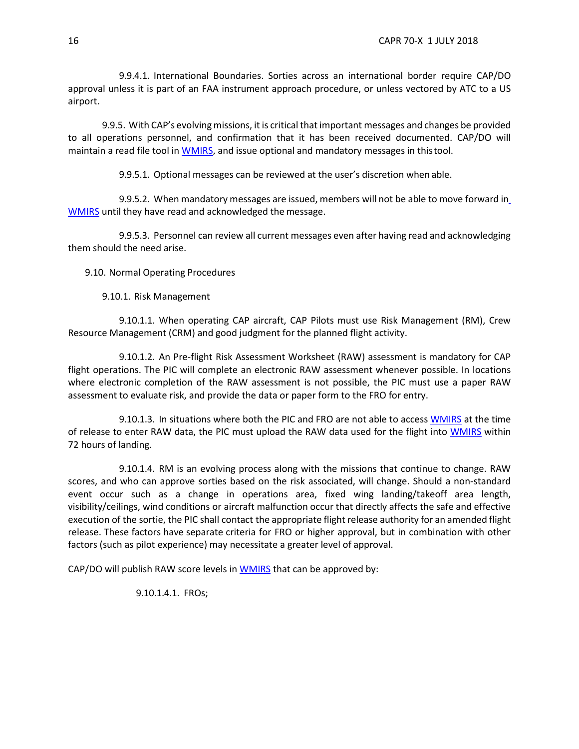9.9.4.1. International Boundaries. Sorties across an international border require CAP/DO approval unless it is part of an FAA instrument approach procedure, or unless vectored by ATC to a US airport.

9.9.5. With CAP's evolving missions, it is critical that important messages and changes be provided to all operations personnel, and confirmation that it has been received documented. CAP/DO will maintain a read file tool in [WMIRS, a](https://www.capnhq.gov/WMIRS/Default.aspx)nd issue optional and mandatory messages in thistool.

9.9.5.1. Optional messages can be reviewed at the user's discretion when able.

9.9.5.2. When mandatory messages are issued, members will not be able to move forward i[n](https://www.capnhq.gov/WMIRS/Default.aspx) [WMIRS](https://www.capnhq.gov/WMIRS/Default.aspx) until they have read and acknowledged the message.

9.9.5.3. Personnel can review all current messages even after having read and acknowledging them should the need arise.

9.10. Normal Operating Procedures

9.10.1. Risk Management

9.10.1.1. When operating CAP aircraft, CAP Pilots must use Risk Management (RM), Crew Resource Management (CRM) and good judgment for the planned flight activity.

9.10.1.2. An Pre-flight Risk Assessment Worksheet (RAW) assessment is mandatory for CAP flight operations. The PIC will complete an electronic RAW assessment whenever possible. In locations where electronic completion of the RAW assessment is not possible, the PIC must use a paper RAW assessment to evaluate risk, and provide the data or paper form to the FRO for entry.

9.10.1.3. In situations where both the PIC and FRO are not able to access [WMIRS](https://www.capnhq.gov/WMIRS/Default.aspx) at the time of release to enter RAW data, the PIC must upload the RAW data used for the flight into [WMIRS](https://www.capnhq.gov/WMIRS/Default.aspx) within 72 hours of landing.

<span id="page-15-0"></span>9.10.1.4. RM is an evolving process along with the missions that continue to change. RAW scores, and who can approve sorties based on the risk associated, will change. Should a non-standard event occur such as a change in operations area, fixed wing landing/takeoff area length, visibility/ceilings, wind conditions or aircraft malfunction occur that directly affects the safe and effective execution of the sortie, the PIC shall contact the appropriate flight release authority for an amended flight release. These factors have separate criteria for FRO or higher approval, but in combination with other factors (such as pilot experience) may necessitate a greater level of approval.

CAP/DO will publish RAW score levels in [WMIRS](https://www.capnhq.gov/WMIRS/Default.aspx) that can be approved by:

9.10.1.4.1. FROs;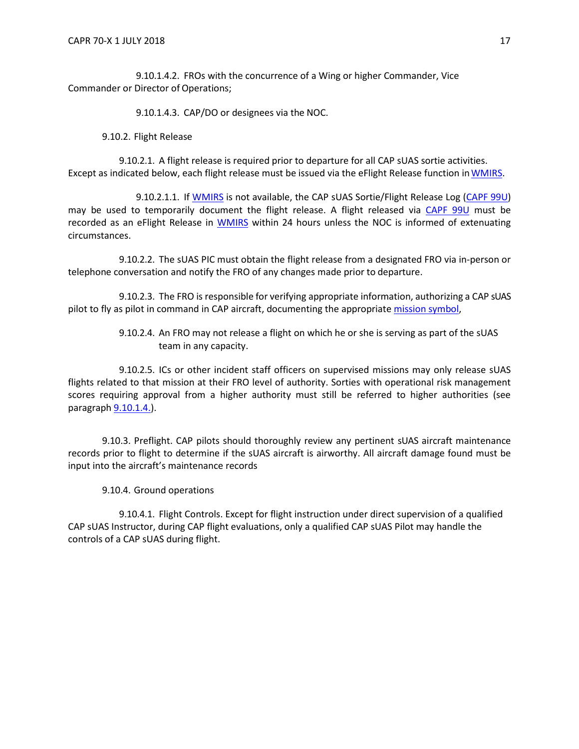9.10.1.4.2. FROs with the concurrence of a Wing or higher Commander, Vice Commander or Director of Operations;

9.10.1.4.3. CAP/DO or designees via the NOC.

9.10.2. Flight Release

9.10.2.1. A flight release is required prior to departure for all CAP sUAS sortie activities. Except as indicated below, each flight release must be issued via the eFlight Release function in WMIRS.

9.10.2.1.1. If [WMIRS](https://www.capnhq.gov/WMIRS/Default.aspx) is not available, the CAP sUAS Sortie/Flight Release Log [\(CAPF 99U](https://www.gocivilairpatrol.com/static/media/cms/F099_988948C87DFCF.pdf)) may be used to temporarily document the flight release. A flight released via [CAPF 99U](https://www.gocivilairpatrol.com/static/media/cms/F099_988948C87DFCF.pdf) must be recorded as an eFlight Release in [WMIRS](https://www.capnhq.gov/WMIRS/Default.aspx) within 24 hours unless the NOC is informed of extenuating circumstances.

9.10.2.2. The sUAS PIC must obtain the flight release from a designated FRO via in-person or telephone conversation and notify the FRO of any changes made prior to departure.

9.10.2.3. The FRO is responsible for verifying appropriate information, authorizing a CAP sUAS pilot to fly as pilot in command in CAP aircraft, documenting the appropriate mission symbol,

> 9.10.2.4. An FRO may not release a flight on which he or she is serving as part of the sUAS team in any capacity.

9.10.2.5. ICs or other incident staff officers on supervised missions may only release sUAS flights related to that mission at their FRO level of authority. Sorties with operational risk management scores requiring approval from a higher authority must still be referred to higher authorities (see paragraph [9.10.1.4.\)](#page-15-0).

9.10.3. Preflight. CAP pilots should thoroughly review any pertinent sUAS aircraft maintenance records prior to flight to determine if the sUAS aircraft is airworthy. All aircraft damage found must be input into the aircraft's maintenance records

9.10.4. Ground operations

9.10.4.1. Flight Controls. Except for flight instruction under direct supervision of a qualified CAP sUAS Instructor, during CAP flight evaluations, only a qualified CAP sUAS Pilot may handle the controls of a CAP sUAS during flight.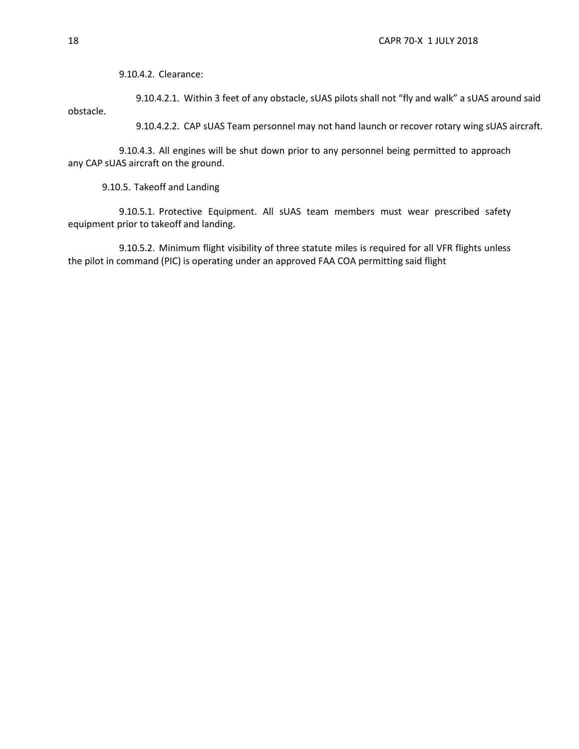9.10.4.2. Clearance:

9.10.4.2.1. Within 3 feet of any obstacle, sUAS pilots shall not "fly and walk" a sUAS around said obstacle.

9.10.4.2.2. CAP sUAS Team personnel may not hand launch or recover rotary wing sUAS aircraft.

9.10.4.3. All engines will be shut down prior to any personnel being permitted to approach any CAP sUAS aircraft on the ground.

9.10.5. Takeoff and Landing

9.10.5.1. Protective Equipment. All sUAS team members must wear prescribed safety equipment prior to takeoff and landing.

9.10.5.2. Minimum flight visibility of three statute miles is required for all VFR flights unless the pilot in command (PIC) is operating under an approved FAA COA permitting said flight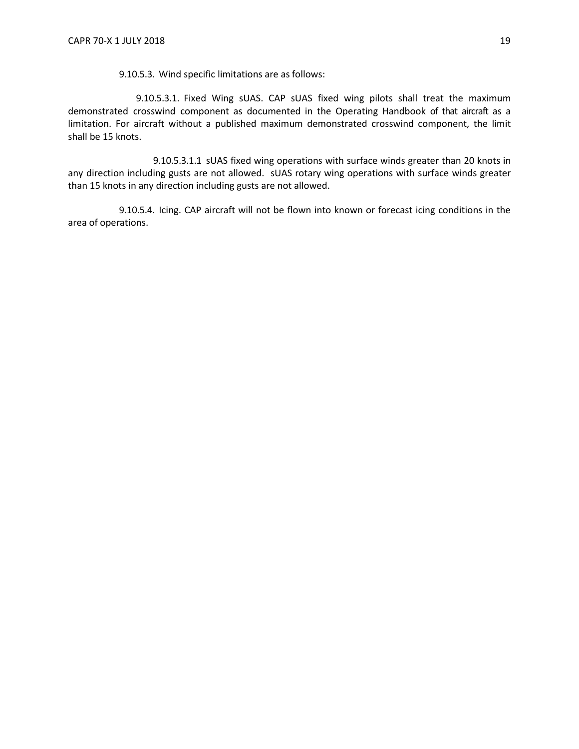9.10.5.3. Wind specific limitations are as follows:

9.10.5.3.1. Fixed Wing sUAS. CAP sUAS fixed wing pilots shall treat the maximum demonstrated crosswind component as documented in the Operating Handbook of that aircraft as a limitation. For aircraft without a published maximum demonstrated crosswind component, the limit shall be 15 knots.

9.10.5.3.1.1 sUAS fixed wing operations with surface winds greater than 20 knots in any direction including gusts are not allowed. sUAS rotary wing operations with surface winds greater than 15 knots in any direction including gusts are not allowed.

9.10.5.4. Icing. CAP aircraft will not be flown into known or forecast icing conditions in the area of operations.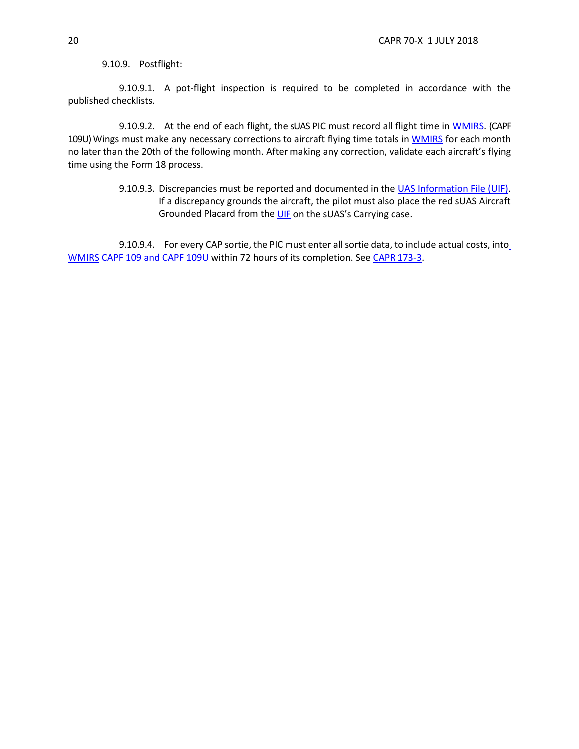9.10.9. Postflight:

9.10.9.1. A pot-flight inspection is required to be completed in accordance with the published checklists.

9.10.9.2. At the end of each flight, the sUAS PIC must record all flight time in [WMIRS.](https://www.capnhq.gov/WMIRS/Default.aspx) (CAPF 109U) Wings must make any necessary corrections to aircraft flying time totals in [WMIRS](https://www.capnhq.gov/WMIRS/Default.aspx) for each month no later than the 20th of the following month. After making any correction, validate each aircraft's flying time using the Form 18 process.

> 9.10.9.3. Discrepancies must be reported and documented in the UAS Information File (UIF). If a discrepancy grounds the aircraft, the pilot must also place the red sUAS Aircraft Grounded Placard from the [UIF](https://www.gocivilairpatrol.com/programs/emergency-services/aircraft-ops-and-staneval/aif-standardized-cap-aircraft-information-file/) on the sUAS's Carrying case.

9.10.9.4. F[o](https://www.capnhq.gov/WMIRS/Default.aspx)r every CAP sortie, the PIC must enter all sortie data, to include actual costs, into [WMIRS](https://www.capnhq.gov/WMIRS/Default.aspx) CAPF 109 and CAPF 109U within 72 hours of its completion. See CAPR [173-3.](https://www.gocivilairpatrol.com/static/media/cms/CAPR_173003_1_Oct_15_cICL1707_w_ICL_77F0ECC82326B.pdf)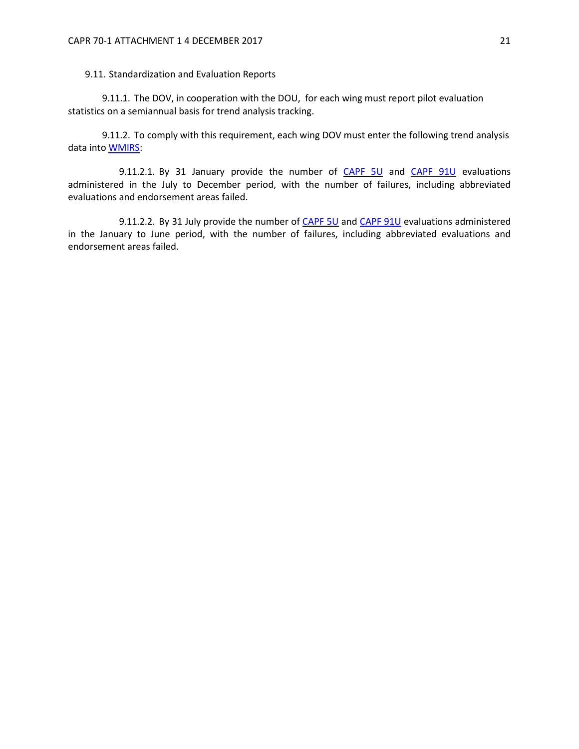9.11. Standardization and Evaluation Reports

9.11.1. The DOV, in cooperation with the DOU, for each wing must report pilot evaluation statistics on a semiannual basis for trend analysis tracking.

9.11.2. To comply with this requirement, each wing DOV must enter the following trend analysis data into [WMIRS:](https://www.capnhq.gov/WMIRS/Default.aspx)

9.11.2.1. By 31 January provide the number of [CAPF](https://www.gocivilairpatrol.com/static/media/cms/F091_449297B36A647.pdf) 5U and CAPF 91U evaluations administered in the July to December period, with the number of failures, including abbreviated evaluations and endorsement areas failed.

9.11.2.2. By 31 July provide the number of [CAPF 5U](https://www.gocivilairpatrol.com/static/media/cms/F005_307D79BCBF52D.pdf) and [CAPF 91U](https://www.gocivilairpatrol.com/static/media/cms/F091_449297B36A647.pdf) evaluations administered in the January to June period, with the number of failures, including abbreviated evaluations and endorsement areas failed.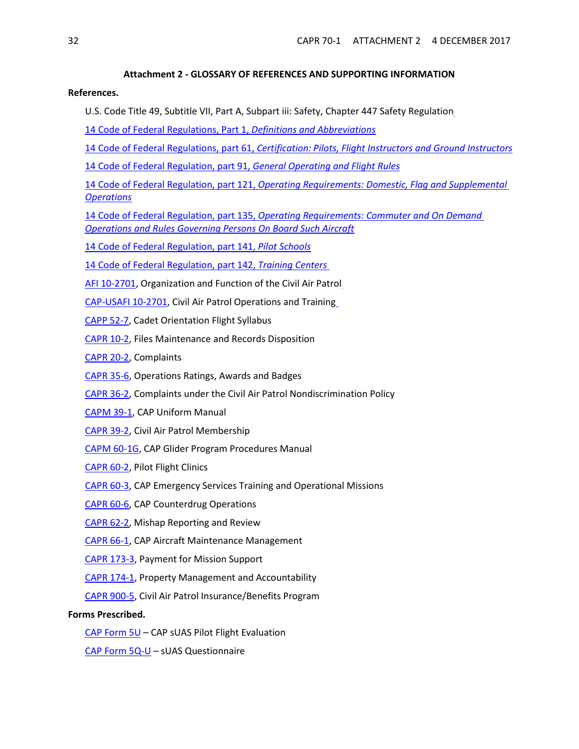## **Attachment 2 - GLOSSARY OF REFERENCES AND SUPPORTING INFORMATION**

#### <span id="page-21-0"></span>**References.**

U.S. Code Title 49, Subtitle VII, Part A, Subpart iii: Safety, Chapter 447 Safety Regulatio[n](http://www.ecfr.gov/cgi-bin/text-idx?SID=24237543f4d6072b2facb5b1dca374c1&mc=true&node=pt14.1.1&rgn=div5)

- [14 Code of Federal Regulations, Part 1,](http://www.ecfr.gov/cgi-bin/text-idx?SID=24237543f4d6072b2facb5b1dca374c1&mc=true&node=pt14.1.1&rgn=div5) *Definitions and Abbreviations*
- [14 Code of Federal Regulations, part 61,](http://www.ecfr.gov/cgi-bin/text-idx?SID=24237543f4d6072b2facb5b1dca374c1&mc=true&node=pt14.2.61&rgn=div5) *Certification: Pilots, Flight Instructors and Ground Instructors*
- [14 Code of Federal Regulation, part 91,](http://www.ecfr.gov/cgi-bin/text-idx?SID=24237543f4d6072b2facb5b1dca374c1&mc=true&node=pt14.2.91&rgn=div5) *General Operating and Flight Rules*

14 Code of Federal Regulation, part 121, *[Operating Requirements: Domestic, Flag and Supplemental](http://www.ecfr.gov/cgi-bin/text-idx?SID=867ed70a44c5c87faeb23fb58b640500&mc=true&node=pt14.3.121&rgn=div5) [Operations](http://www.ecfr.gov/cgi-bin/text-idx?SID=867ed70a44c5c87faeb23fb58b640500&mc=true&node=pt14.3.121&rgn=div5)*

14 Code of Federal Regulation, part 135, *[Operating Requirements: Commuter and On Demand](http://www.ecfr.gov/cgi-bin/text-idx?SID=867ed70a44c5c87faeb23fb58b640500&mc=true&node=pt14.3.135&rgn=div5) [Operations and Rules Governing Persons On Board Such Aircraft](http://www.ecfr.gov/cgi-bin/text-idx?SID=867ed70a44c5c87faeb23fb58b640500&mc=true&node=pt14.3.135&rgn=div5)*

[14 Code of Federal Regulation, part 141,](http://www.ecfr.gov/cgi-bin/text-idx?SID=867ed70a44c5c87faeb23fb58b640500&mc=true&node=pt14.3.141&rgn=div5) *Pilot Schools*

[14 Code of Federal Regulation, part 142,](http://www.ecfr.gov/cgi-bin/text-idx?SID=867ed70a44c5c87faeb23fb58b640500&mc=true&node=pt14.3.142&rgn=div5) *Training Center[s](https://www.gocivilairpatrol.com/static/media/cms/AFI_102701_31_Jul_14_0475E646C469F.pdf)*

[AFI 10-2701, O](https://www.gocivilairpatrol.com/static/media/cms/AFI_102701_31_Jul_14_0475E646C469F.pdf)rganization and Function of the Civil Air Patro[l](http://www.capmembers.com/media/cms/CAP_USAFI_10_2701.pdf)

[CAP-USAFI 10-2701, C](http://www.capmembers.com/media/cms/CAP_USAFI_10_2701.pdf)ivil Air Patrol Operations and Trainin[g](https://www.gocivilairpatrol.com/static/media/cms/P052_007_9F576CAE3B358.pdf)

- [CAPP 52-7, C](https://www.gocivilairpatrol.com/static/media/cms/P052_007_9F576CAE3B358.pdf)adet Orientation Flight Syllabus
- [CAPR 10-2, F](https://www.gocivilairpatrol.com/static/media/cms/R010_002_06448D9F87459.pdf)iles Maintenance and Records Disposition
- [CAPR 20-2, C](https://www.gocivilairpatrol.com/static/media/cms/CAPR020002_D67F32F26D5E9.pdf)omplaints
- [CAPR 35-6, O](https://www.gocivilairpatrol.com/static/media/cms/R035_006_70213217D50CA.pdf)perations Ratings, Awards and Badges
- [CAPR 36-2, C](https://www.gocivilairpatrol.com/static/media/cms/R036_002_D2CD7C6F4C14A.pdf)omplaints under the Civil Air Patrol Nondiscrimination Policy
- [CAPM 39-1, C](https://www.gocivilairpatrol.com/static/media/cms/M391_E6F33EAAEC28A.pdf)AP Uniform Manual
- [CAPR 39-2, C](https://www.gocivilairpatrol.com/static/media/cms/R039_002_A74FDA9552C2D.pdf)ivil Air Patrol Membership
- [CAPM 60-1G, C](https://www.gocivilairpatrol.com/static/media/cms/CAPM060001G_80BC72C96CB5F.pdf)AP Glider Program Procedures Manual
- [CAPR 60-2, P](https://www.gocivilairpatrol.com/static/media/cms/R060002_Cadet_Protection_1_MAR_18_C9DF90813A654.pdf)ilot Flight Clinics
- [CAPR 60-3, C](https://www.gocivilairpatrol.com/static/media/cms/R060_003_075A4369FBA8E.pdf)AP Emergency Services Training and Operational Missions
- [CAPR 60-6, C](https://www.gocivilairpatrol.com/static/media/cms/R060_006_1A37BA71043C2.pdf)AP Counterdrug Operations
- [CAPR 62-2, M](https://www.gocivilairpatrol.com/static/media/cms/R062_002_211E97E99C6A4.pdf)ishap Reporting and Review
- [CAPR 66-1, C](https://www.gocivilairpatrol.com/static/media/cms/R066_001_8067887A28C8C.pdf)AP Aircraft Maintenance Management
- [CAPR 173-3, P](https://www.gocivilairpatrol.com/static/media/cms/CAPR_173003_1_Oct_15_cICL1707_w_ICL_77F0ECC82326B.pdf)ayment for Mission Support
- [CAPR 174-1, P](https://www.gocivilairpatrol.com/static/media/cms/R174_001_F7C3242683CC7.pdf)roperty Management and Accountability
- [CAPR 900-5, C](https://www.gocivilairpatrol.com/static/media/cms/R900_005_8F2514161E982.pdf)ivil Air Patrol Insurance/Benefits Program

## **Forms Prescribed.**

[CAP Form 5U](https://www.gocivilairpatrol.com/static/media/cms/F005_307D79BCBF52D.pdf) – CAP sUAS Pilot Flight Evaluation

[CAP Form 5Q-U](https://www.gocivilairpatrol.com/static/media/cms/F005Q_A_CE3D5276A7C14.pdf) – sUAS Questionnaire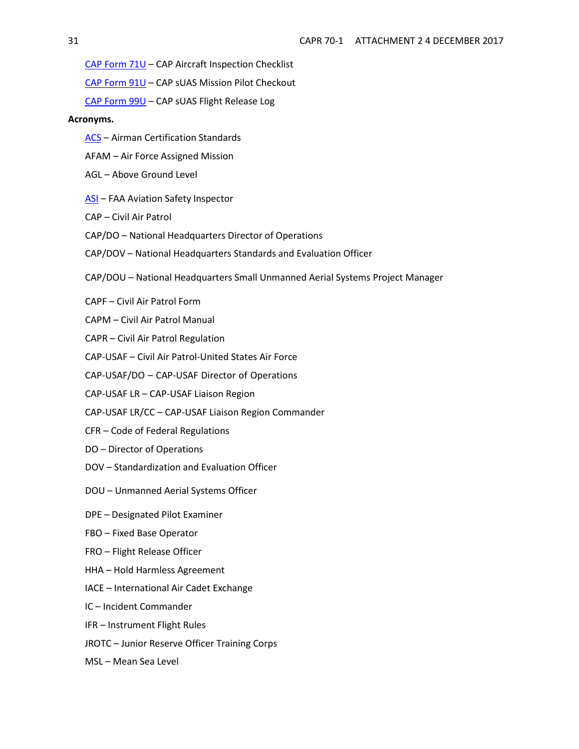[CAP Form 71U](https://www.gocivilairpatrol.com/static/media/cms/F071_484891873A9D5.pdf) – CAP Aircraft Inspection Checklist

[CAP Form 91U](https://www.gocivilairpatrol.com/static/media/cms/F091_449297B36A647.pdf) – CAP sUAS Mission Pilot Checkout

[CAP Form 99U](https://www.gocivilairpatrol.com/static/media/cms/F099_988948C87DFCF.pdf) – CAP sUAS Flight Release Log

# **Acronyms.**

- [ACS](https://www.faa.gov/training_testing/testing/acs/) Airman Certification Standards
- AFAM Air Force Assigned Mission
- AGL Above Ground Level
- [ASI](https://www.faa.gov/jobs/career_fields/aviation_careers/media/ASI_Fact_Sheet.pdf) FAA Aviation Safety Inspector
- CAP Civil Air Patrol
- CAP/DO National Headquarters Director of Operations
- CAP/DOV National Headquarters Standards and Evaluation Officer
- CAP/DOU National Headquarters Small Unmanned Aerial Systems Project Manager
- CAPF Civil Air Patrol Form
- CAPM Civil Air Patrol Manual
- CAPR Civil Air Patrol Regulation
- CAP-USAF Civil Air Patrol-United States Air Force
- CAP-USAF/DO CAP-USAF Director of Operations
- CAP-USAF LR CAP-USAF Liaison Region
- CAP-USAF LR/CC CAP-USAF Liaison Region Commander
- CFR Code of Federal Regulations
- DO Director of Operations
- DOV Standardization and Evaluation Officer
- DOU Unmanned Aerial Systems Officer
- DPE Designated Pilot Examiner
- FBO Fixed Base Operator
- FRO Flight Release Officer
- HHA Hold Harmless Agreement
- IACE International Air Cadet Exchange
- IC Incident Commander
- IFR Instrument Flight Rules
- JROTC Junior Reserve Officer Training Corps
- MSL Mean Sea Level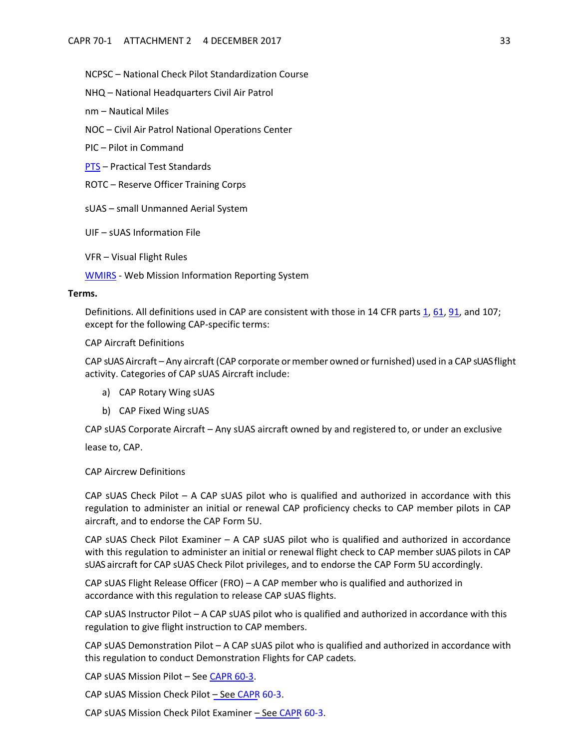NCPSC – National Check Pilot Standardization Course

NHQ – National Headquarters Civil Air Patrol

nm – Nautical Miles

NOC – Civil Air Patrol National Operations Center

PIC – Pilot in Command

[PTS](https://www.faa.gov/training_testing/testing/test_standards/) – Practical Test Standards

ROTC – Reserve Officer Training Corps

sUAS – small Unmanned Aerial System

UIF – sUAS Information File

VFR – Visual Flight Rules

[WMIRS](https://www.capnhq.gov/WMIRS/Default.aspx) - Web Mission Information Reporting System

#### **Terms.**

Definitions. All definitions used in CAP are consistent with those in 14 CFR parts [1,](http://www.ecfr.gov/cgi-bin/text-idx?SID=24237543f4d6072b2facb5b1dca374c1&mc=true&node=pt14.1.1&rgn=div5) [61,](http://www.ecfr.gov/cgi-bin/text-idx?SID=24237543f4d6072b2facb5b1dca374c1&mc=true&node=pt14.2.61&rgn=div5) [91, a](http://www.ecfr.gov/cgi-bin/text-idx?SID=24237543f4d6072b2facb5b1dca374c1&mc=true&node=pt14.2.91&rgn=div5)nd 107; except for the following CAP-specific terms:

CAP Aircraft Definitions

CAP sUAS Aircraft – Any aircraft (CAP corporate ormember owned orfurnished) used in a CAP sUAS flight activity. Categories of CAP sUAS Aircraft include:

- a) CAP Rotary Wing sUAS
- <span id="page-24-0"></span>b) CAP Fixed Wing sUAS

CAP sUAS Corporate Aircraft – Any sUAS aircraft owned by and registered to, or under an exclusive

lease to, CAP.

CAP Aircrew Definitions

CAP sUAS Check Pilot – A CAP sUAS pilot who is qualified and authorized in accordance with this regulation to administer an initial or renewal CAP proficiency checks to CAP member pilots in CAP aircraft, and to endorse the CAP Form 5U.

CAP sUAS Check Pilot Examiner – A CAP sUAS pilot who is qualified and authorized in accordance with this regulation to administer an initial or renewal flight check to CAP member sUAS pilots in CAP sUAS aircraft for CAP sUAS Check Pilot privileges, and to endorse the CAP Form 5U accordingly.

CAP sUAS Flight Release Officer (FRO) – A CAP member who is qualified and authorized in accordance with this regulation to release CAP sUAS flights.

CAP sUAS Instructor Pilot – A CAP sUAS pilot who is qualified and authorized in accordance with this regulation to give flight instruction to CAP members.

CAP sUAS Demonstration Pilot – A CAP sUAS pilot who is qualified and authorized in accordance with this regulation to conduct Demonstration Flights for CAP cadets.

CAP sUAS Mission Pilot – See [CAPR 60-3.](https://www.gocivilairpatrol.com/static/media/cms/R060_003_075A4369FBA8E.pdf)

CAP sUAS Mission Check Pilot – See [CAPR 60-3.](https://www.gocivilairpatrol.com/static/media/cms/R060_003_075A4369FBA8E.pdf)

CAP sUAS Mission Check Pilot Examiner – Se[e CAPR 60-3.](https://www.gocivilairpatrol.com/static/media/cms/R060_003_075A4369FBA8E.pdf)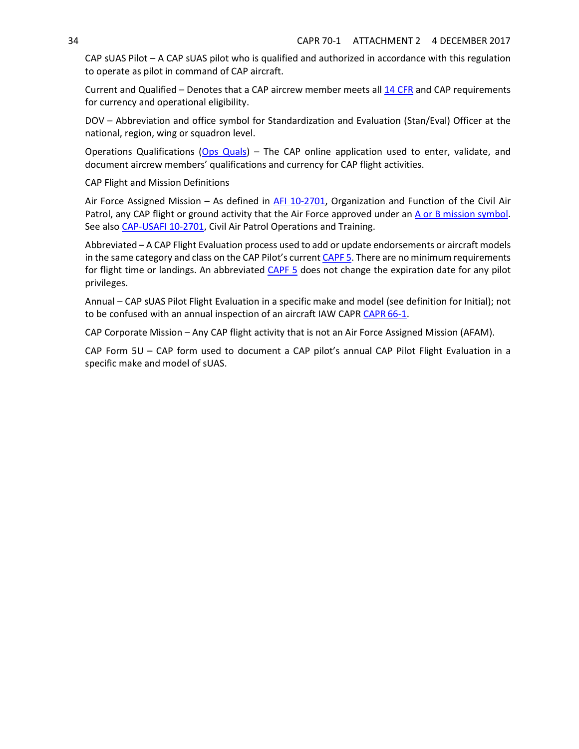CAP sUAS Pilot – A CAP sUAS pilot who is qualified and authorized in accordance with this regulation to operate as pilot in command of CAP aircraft.

Current and Qualified – Denotes that a CAP aircrew member meets all 14 CFR and CAP requirements for currency and operational eligibility.

DOV – Abbreviation and office symbol for Standardization and Evaluation (Stan/Eval) Officer at the national, region, wing or squadron level.

Operations Qualifications [\(Ops Quals\)](https://www.capnhq.gov/CAP.OPSQuals.Web/Default.aspx) – The CAP online application used to enter, validate, and document aircrew members' qualifications and currency for CAP flight activities.

CAP Flight and Mission Definitions

Air Force Assigned Mission – As defined in [AFI 10-2701, O](https://www.gocivilairpatrol.com/static/media/cms/AFI_102701_31_Jul_14_0475E646C469F.pdf)rganization and Function of the Civil Air Patrol, any CAP flight or ground activity that the Air Force approved under an [A or B mission symbol.](https://www.gocivilairpatrol.com/static/media/cms/07_AIF_FLT_LOG_2_B62FB0443499A.pdf) See also [CAP-USAFI 10-2701, C](https://www.gocivilairpatrol.com/static/media/cms/AFI_102701_20470E7786898.pdf)ivil Air Patrol Operations and Training.

Abbreviated – A CAP Flight Evaluation process used to add or update endorsements or aircraft models in the same category and class on the CAP Pilot's current [CAPF](https://www.gocivilairpatrol.com/static/media/cms/F005_307D79BCBF52D.pdf) 5. There are no minimum requirements for flight time or landings. An abbreviated [CAPF 5](https://www.gocivilairpatrol.com/static/media/cms/F005_307D79BCBF52D.pdf) does not change the expiration date for any pilot privileges.

Annual – CAP sUAS Pilot Flight Evaluation in a specific make and model (see definition for Initial); not to be confused with an annual inspection of an aircraft IAW [CAPR](https://www.gocivilairpatrol.com/static/media/cms/R066_001_8067887A28C8C.pdf) CAPR 66-1.

CAP Corporate Mission – Any CAP flight activity that is not an Air Force Assigned Mission (AFAM).

CAP Form 5U – CAP form used to document a CAP pilot's annual CAP Pilot Flight Evaluation in a specific make and model of sUAS.